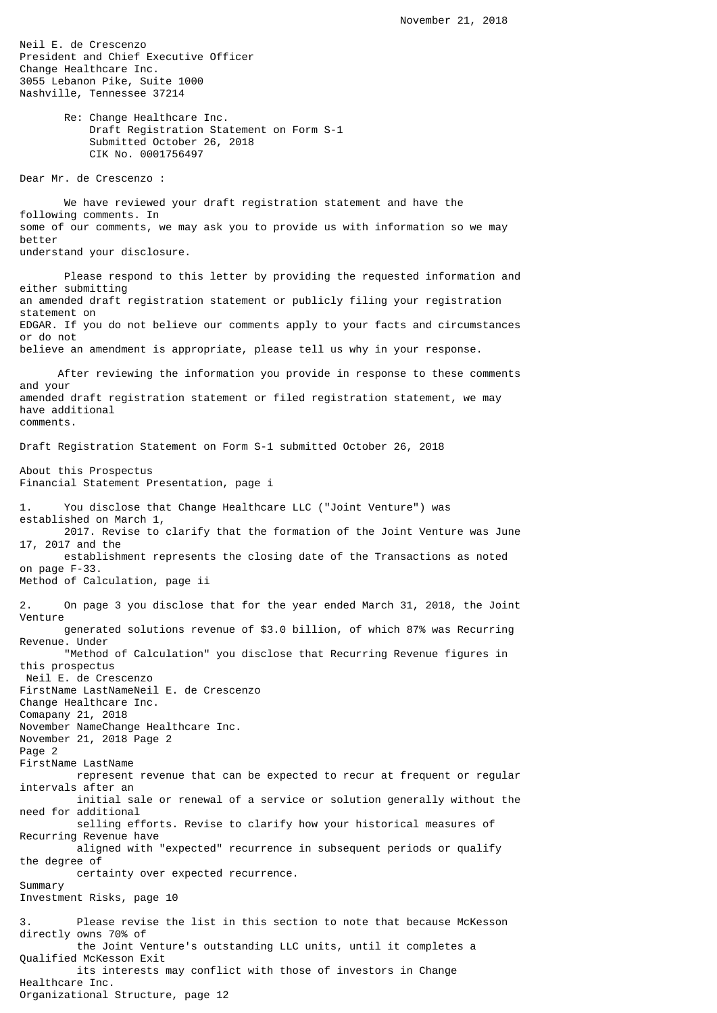Neil E. de Crescenzo President and Chief Executive Officer Change Healthcare Inc. 3055 Lebanon Pike, Suite 1000 Nashville, Tennessee 37214 Re: Change Healthcare Inc. Draft Registration Statement on Form S-1 Submitted October 26, 2018 CIK No. 0001756497 Dear Mr. de Crescenzo : We have reviewed your draft registration statement and have the following comments. In some of our comments, we may ask you to provide us with information so we may better understand your disclosure. Please respond to this letter by providing the requested information and either submitting an amended draft registration statement or publicly filing your registration statement on EDGAR. If you do not believe our comments apply to your facts and circumstances or do not believe an amendment is appropriate, please tell us why in your response. After reviewing the information you provide in response to these comments and your amended draft registration statement or filed registration statement, we may have additional comments. Draft Registration Statement on Form S-1 submitted October 26, 2018 About this Prospectus Financial Statement Presentation, page i 1. You disclose that Change Healthcare LLC ("Joint Venture") was established on March 1, 2017. Revise to clarify that the formation of the Joint Venture was June 17, 2017 and the establishment represents the closing date of the Transactions as noted on page F-33. Method of Calculation, page ii 2. On page 3 you disclose that for the year ended March 31, 2018, the Joint Venture generated solutions revenue of \$3.0 billion, of which 87% was Recurring Revenue. Under "Method of Calculation" you disclose that Recurring Revenue figures in this prospectus Neil E. de Crescenzo FirstName LastNameNeil E. de Crescenzo Change Healthcare Inc. Comapany 21, 2018 November NameChange Healthcare Inc. November 21, 2018 Page 2 Page 2 FirstName LastName represent revenue that can be expected to recur at frequent or regular intervals after an initial sale or renewal of a service or solution generally without the need for additional selling efforts. Revise to clarify how your historical measures of Recurring Revenue have aligned with "expected" recurrence in subsequent periods or qualify the degree of certainty over expected recurrence. Summary Investment Risks, page 10 3. Please revise the list in this section to note that because McKesson directly owns 70% of the Joint Venture's outstanding LLC units, until it completes a Qualified McKesson Exit its interests may conflict with those of investors in Change Healthcare Inc.

Organizational Structure, page 12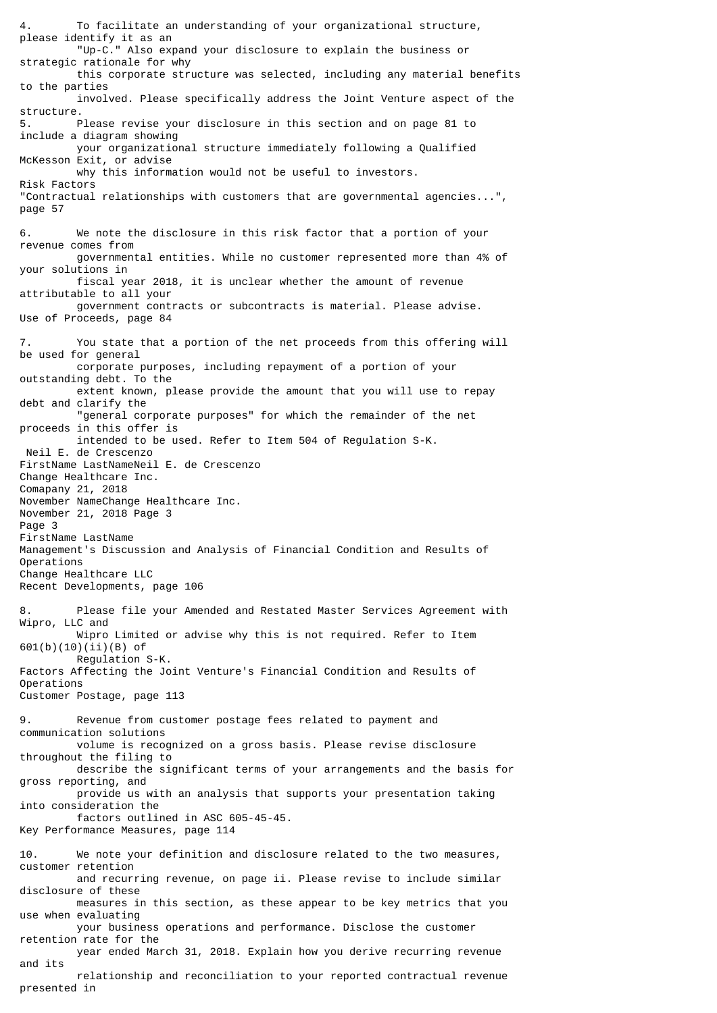4. To facilitate an understanding of your organizational structure, please identify it as an "Up-C." Also expand your disclosure to explain the business or strategic rationale for why this corporate structure was selected, including any material benefits to the parties involved. Please specifically address the Joint Venture aspect of the structure. 5. Please revise your disclosure in this section and on page 81 to include a diagram showing your organizational structure immediately following a Qualified McKesson Exit, or advise why this information would not be useful to investors. Risk Factors "Contractual relationships with customers that are governmental agencies...", page 57 6. We note the disclosure in this risk factor that a portion of your revenue comes from governmental entities. While no customer represented more than 4% of your solutions in fiscal year 2018, it is unclear whether the amount of revenue attributable to all your government contracts or subcontracts is material. Please advise. Use of Proceeds, page 84 7. You state that a portion of the net proceeds from this offering will be used for general corporate purposes, including repayment of a portion of your outstanding debt. To the extent known, please provide the amount that you will use to repay debt and clarify the "general corporate purposes" for which the remainder of the net proceeds in this offer is intended to be used. Refer to Item 504 of Regulation S-K. Neil E. de Crescenzo FirstName LastNameNeil E. de Crescenzo Change Healthcare Inc. Comapany 21, 2018 November NameChange Healthcare Inc. November 21, 2018 Page 3 Page 3 FirstName LastName Management's Discussion and Analysis of Financial Condition and Results of Operations Change Healthcare LLC Recent Developments, page 106 Please file your Amended and Restated Master Services Agreement with Wipro, LLC and Wipro Limited or advise why this is not required. Refer to Item 601(b)(10)(ii)(B) of Regulation S-K. Factors Affecting the Joint Venture's Financial Condition and Results of Operations Customer Postage, page 113 9. Revenue from customer postage fees related to payment and communication solutions volume is recognized on a gross basis. Please revise disclosure throughout the filing to describe the significant terms of your arrangements and the basis for gross reporting, and provide us with an analysis that supports your presentation taking into consideration the factors outlined in ASC 605-45-45. Key Performance Measures, page 114 We note your definition and disclosure related to the two measures, customer retention and recurring revenue, on page ii. Please revise to include similar disclosure of these measures in this section, as these appear to be key metrics that you use when evaluating your business operations and performance. Disclose the customer retention rate for the year ended March 31, 2018. Explain how you derive recurring revenue and its relationship and reconciliation to your reported contractual revenue presented in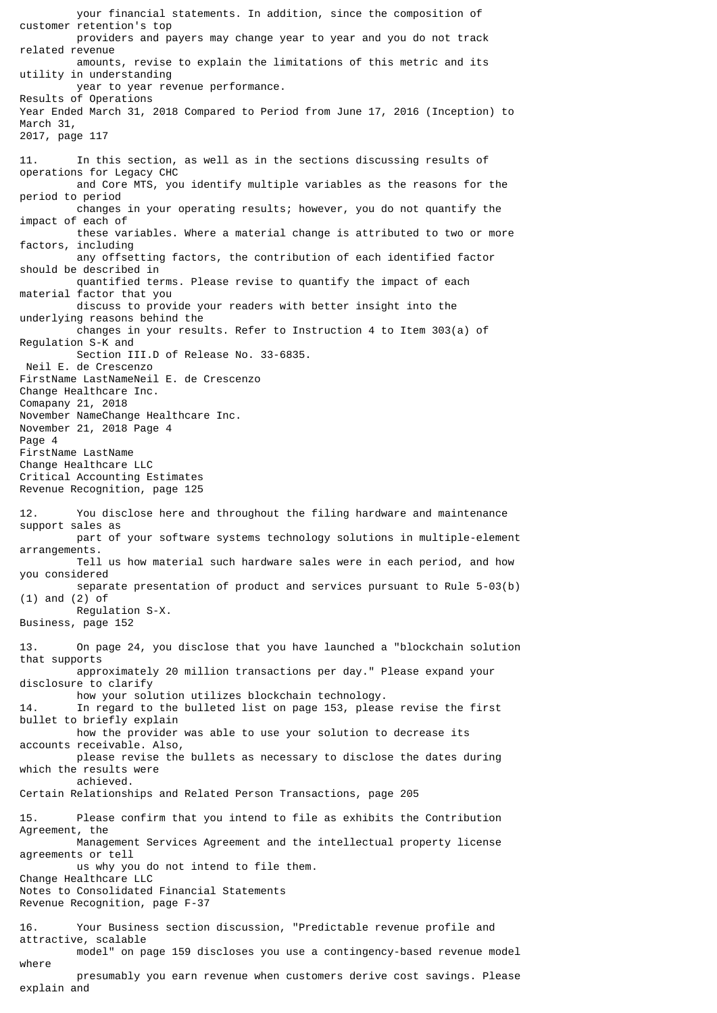your financial statements. In addition, since the composition of customer retention's top providers and payers may change year to year and you do not track related revenue amounts, revise to explain the limitations of this metric and its utility in understanding year to year revenue performance. Results of Operations Year Ended March 31, 2018 Compared to Period from June 17, 2016 (Inception) to March 31, 2017, page 117 11. In this section, as well as in the sections discussing results of operations for Legacy CHC and Core MTS, you identify multiple variables as the reasons for the period to period changes in your operating results; however, you do not quantify the impact of each of these variables. Where a material change is attributed to two or more factors, including any offsetting factors, the contribution of each identified factor should be described in quantified terms. Please revise to quantify the impact of each material factor that you discuss to provide your readers with better insight into the underlying reasons behind the changes in your results. Refer to Instruction 4 to Item 303(a) of Regulation S-K and Section III.D of Release No. 33-6835. Neil E. de Crescenzo FirstName LastNameNeil E. de Crescenzo Change Healthcare Inc. Comapany 21, 2018 November NameChange Healthcare Inc. November 21, 2018 Page 4 Page 4 FirstName LastName Change Healthcare LLC Critical Accounting Estimates Revenue Recognition, page 125 12. You disclose here and throughout the filing hardware and maintenance support sales as part of your software systems technology solutions in multiple-element arrangements. Tell us how material such hardware sales were in each period, and how you considered separate presentation of product and services pursuant to Rule 5-03(b) (1) and (2) of Regulation S-X. Business, page 152 13. On page 24, you disclose that you have launched a "blockchain solution that supports approximately 20 million transactions per day." Please expand your disclosure to clarify how your solution utilizes blockchain technology. 14. In regard to the bulleted list on page 153, please revise the first bullet to briefly explain how the provider was able to use your solution to decrease its accounts receivable. Also, please revise the bullets as necessary to disclose the dates during which the results were achieved. Certain Relationships and Related Person Transactions, page 205 15. Please confirm that you intend to file as exhibits the Contribution Agreement, the Management Services Agreement and the intellectual property license agreements or tell us why you do not intend to file them. Change Healthcare LLC Notes to Consolidated Financial Statements Revenue Recognition, page F-37 16. Your Business section discussion, "Predictable revenue profile and attractive, scalable model" on page 159 discloses you use a contingency-based revenue model where presumably you earn revenue when customers derive cost savings. Please

explain and